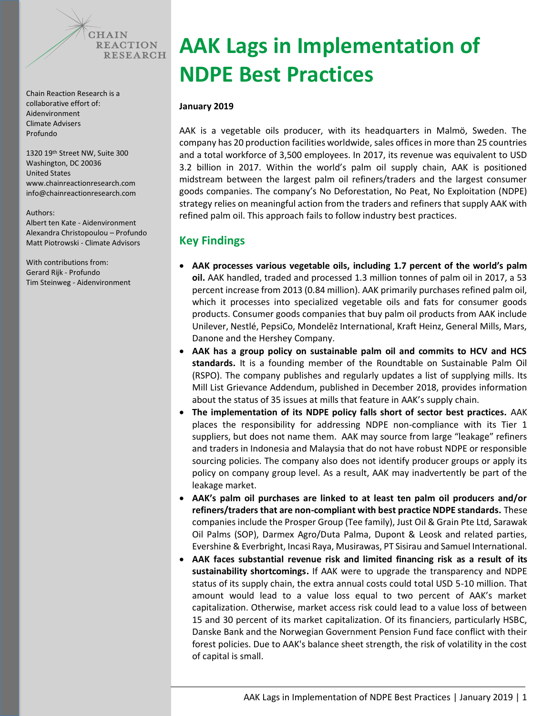

Chain Reaction Research is a collaborative effort of: Aidenvironment Climate Advisers Profundo

1320 19th Street NW, Suite 300 Washington, DC 20036 United States www.chainreactionresearch.com [info@chainreactionresearch.com](mailto:info@chainreactionresearch.com)

#### Authors:

Albert ten Kate - Aidenvironment Alexandra Christopoulou – Profundo Matt Piotrowski - Climate Advisors

With contributions from: Gerard Rijk - Profundo Tim Steinweg - Aidenvironment

# **AAK Lags in Implementation of NDPE Best Practices**

#### **January 2019**

AAK is a vegetable oils producer, with its headquarters in Malmö, Sweden. The company has 20 production facilities worldwide, sales offices in more than 25 countries and a total workforce of 3,500 employees. In 2017, its revenue was equivalent to USD 3.2 billion in 2017. Within the world's palm oil supply chain, AAK is positioned midstream between the largest palm oil refiners/traders and the largest consumer goods companies. The company's No Deforestation, No Peat, No Exploitation (NDPE) strategy relies on meaningful action from the traders and refiners that supply AAK with refined palm oil. This approach fails to follow industry best practices.

## **Key Findings**

- **AAK processes various vegetable oils, including 1.7 percent of the world's palm oil.** AAK handled, traded and processed 1.3 million tonnes of palm oil in 2017, a 53 percent increase from 2013 (0.84 million). AAK primarily purchases refined palm oil, which it processes into specialized vegetable oils and fats for consumer goods products. Consumer goods companies that buy palm oil products from AAK include Unilever, Nestlé, PepsiCo, Mondelēz International, Kraft Heinz, General Mills, Mars, Danone and the Hershey Company.
- **AAK has a group policy on sustainable palm oil and commits to HCV and HCS standards.** It is a founding member of the Roundtable on Sustainable Palm Oil (RSPO). The company publishes and regularly updates a list of supplying mills. Its Mill List Grievance Addendum, published in December 2018, provides information about the status of 35 issues at mills that feature in AAK's supply chain.
- **The implementation of its NDPE policy falls short of sector best practices.** AAK places the responsibility for addressing NDPE non-compliance with its Tier 1 suppliers, but does not name them. AAK may source from large "leakage" refiners and traders in Indonesia and Malaysia that do not have robust NDPE or responsible sourcing policies. The company also does not identify producer groups or apply its policy on company group level. As a result, AAK may inadvertently be part of the leakage market.
- **AAK's palm oil purchases are linked to at least ten palm oil producers and/or refiners/traders that are non-compliant with best practice NDPE standards.** These companies include the Prosper Group (Tee family), Just Oil & Grain Pte Ltd, Sarawak Oil Palms (SOP), Darmex Agro/Duta Palma, Dupont & Leosk and related parties, Evershine & Everbright, Incasi Raya, Musirawas, PT Sisirau and Samuel International.
- **AAK faces substantial revenue risk and limited financing risk as a result of its sustainability shortcomings.** If AAK were to upgrade the transparency and NDPE status of its supply chain, the extra annual costs could total USD 5-10 million. That amount would lead to a value loss equal to two percent of AAK's market capitalization. Otherwise, market access risk could lead to a value loss of between 15 and 30 percent of its market capitalization. Of its financiers, particularly HSBC, Danske Bank and the Norwegian Government Pension Fund face conflict with their forest policies. Due to AAK's balance sheet strength, the risk of volatility in the cost of capital is small.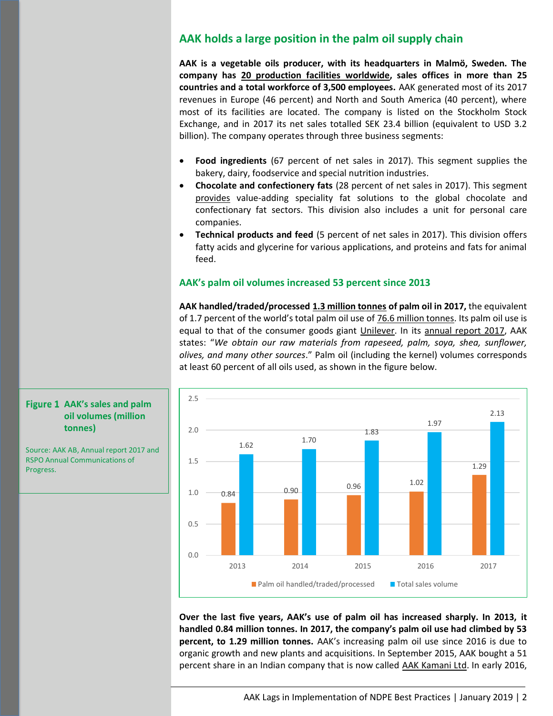## **AAK holds a large position in the palm oil supply chain**

**AAK is a vegetable oils producer, with its headquarters in Malmö, Sweden. The company has [20 production facilities](https://aak.com/siteassets/investors/financial-reports/annual-reports/aak-annual-report-2017.pdf) worldwide, sales offices in more than 25 countries and a total workforce of 3,500 employees.** AAK generated most of its 2017 revenues in Europe (46 percent) and North and South America (40 percent), where most of its facilities are located. The company is listed on the Stockholm Stock Exchange, and in 2017 its net sales totalled SEK 23.4 billion (equivalent to USD 3.2 billion). The company operates through three business segments:

- **Food ingredients** (67 percent of net sales in 2017). This segment supplies the bakery, dairy, foodservice and special nutrition industries.
- **Chocolate and confectionery fats** (28 percent of net sales in 2017). This segment [provides](https://aak.com/siteassets/investors/capital-market-day/2018/cmd-2018_ceo.pdf) value-adding speciality fat solutions to the global chocolate and confectionary fat sectors. This division also includes a unit for personal care companies.
- **Technical products and feed** (5 percent of net sales in 2017). This division offers fatty acids and glycerine for various applications, and proteins and fats for animal feed.

#### **AAK's palm oil volumes increased 53 percent since 2013**

**AAK handled/traded/processed [1.3 million tonnes](https://rspo.org/file/acop2017/submissions/aak%20ab-ACOP2017.pdf) of palm oil in 2017,** the equivalent of 1.7 percent of the world's total palm oil use of [76.6 million tonnes.](https://apps.fas.usda.gov/psdonline/circulars/oilseeds.pdf) Its palm oil use is equal to that of the consumer goods giant [Unilever.](https://www.rspo.org/file/acop2017/submissions/unilever-ACOP2017.pdf) In its [annual report 2017,](http://mb.cision.com/Main/871/2509266/832545.pdf) AAK states: "*We obtain our raw materials from rapeseed, palm, soya, shea, sunflower, olives, and many other sources*." Palm oil (including the kernel) volumes corresponds at least 60 percent of all oils used, as shown in the figure below.



**Over the last five years, AAK's use of palm oil has increased sharply. In 2013, it handled 0.84 million tonnes. In 2017, the company's palm oil use had climbed by 53 percent, to 1.29 million tonnes.** AAK's increasing palm oil use since 2016 is due to organic growth and new plants and acquisitions. In September 2015, AAK bought a 51 percent share in an Indian company that is now called [AAK Kamani Ltd.](https://aak.com/media/press-releases/2015/aak-acquires-51-percent-of-the-shares-in-leading-indian-company/) In early 2016,

#### **AAK's sales and palm oil volumes (million tonnes)**

Source: AAK AB, Annual report 2017 and RSPO Annual Communications of Progress.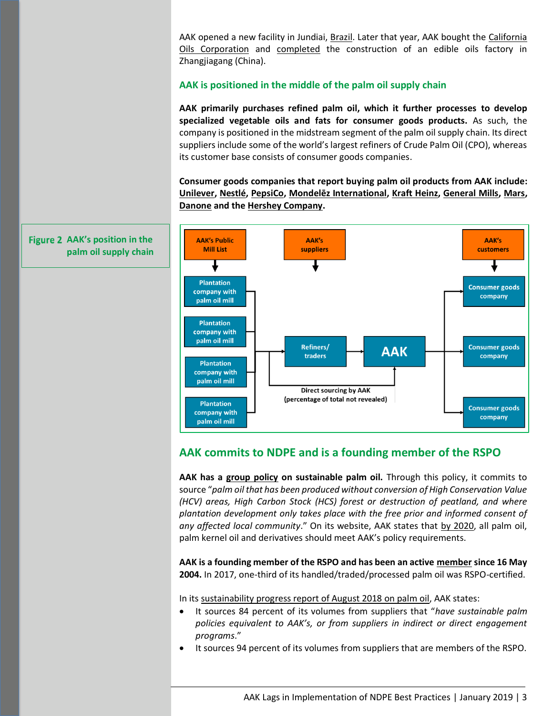AAK opened a new facility in Jundiai, [Brazil.](https://mb.cision.com/Main/871/2241603/659111.pdf) Later that year, AAK bought the [California](https://aak.com/media/press-releases/2016/aak-completes-acquisition-of-california-oils-corporation/)  [Oils Corporation](https://aak.com/media/press-releases/2016/aak-completes-acquisition-of-california-oils-corporation/) and [completed](http://mb.cision.com/Main/871/2241603/659111.pdf) the construction of an edible oils factory in Zhangjiagang (China).

### **AAK is positioned in the middle of the palm oil supply chain**

**AAK primarily purchases refined palm oil, which it further processes to develop specialized vegetable oils and fats for consumer goods products.** As such, the company is positioned in the midstream segment of the palm oil supply chain. Its direct suppliers include some of the world's largest refiners of Crude Palm Oil (CPO), whereas its customer base consists of consumer goods companies.

**Consumer goods companies that report buying palm oil products from AAK include: [Unilever,](https://www.unilever.com/Images/unilever-palm-oil-supplier-list_tcm244-515896_en.pdf) [Nestlé,](https://www.nestle.com/asset-library/documents/creating-shared-value/responsible-sourcing/tier1-po-suppliers-feb-2018.pdf) [PepsiCo,](https://www.pepsico.com/docs/album/a-z-topics-policies/pepsico-2018-direct-palm-oil-supplier-list_vf.pdf) [Mondelēz International](https://www.mondelezinternational.com/~/media/mondelezcorporate/uploads/downloads/supplier_list.pdf), [Kraft Heinz,](http://www.kraftheinzcompany.com/pdf/Kraft_Heinz_Sustainable_Palm_Policy.pdf) [General Mills,](https://www.generalmills.com/en/News/Issues/palm-oil-statement/current-direct-suppliers) [Mars,](https://www.mars.com/docs/default-source/Policies-and-Practices/marspalmupdate_march_2018.pdf?sfvrsn=4) [Danone](https://www.danone.com/content/dam/danone-corp/about-us-impact/policies-and-commitments/en/2018/2015_Palm_Oil_Policy_Updated2018.pdf) and the [Hershey Company.](https://www.thehersheycompany.com/en_us/shared-goodness/shared-business/palm-oil-facts.html)**



## **AAK commits to NDPE and is a founding member of the RSPO**

**AAK has a [group policy](https://aak.com/siteassets/sustainable-growth/policies-and-codes/aak-group-policy-sustainable-palm-oil.pdf) on sustainable palm oil.** Through this policy, it commits to source "*palm oil that has been produced without conversion of High Conservation Value (HCV) areas, High Carbon Stock (HCS) forest or destruction of peatland, and where plantation development only takes place with the free prior and informed consent of any affected local community*." On its website, AAK states that [by 2020,](https://aak.com/sustainable-growth/responsible-sourcing/responsible-sourcing-of-palm/) all palm oil, palm kernel oil and derivatives should meet AAK's policy requirements.

**AAK is a founding member of the RSPO and has been an active [member](https://www.rspo.org/members/35/AAK-AB) since 16 May 2004.** In 2017, one-third of its handled/traded/processed palm oil was RSPO-certified.

In it[s sustainability progress report of August 2018 on palm oil,](https://aak.com/siteassets/sustainable-growth/palm-progress-reports/aaks-progress-report-on-sustainable-palm-oil-august-2018.pdf) AAK states:

- It sources 84 percent of its volumes from suppliers that "*have sustainable palm policies equivalent to AAK's, or from suppliers in indirect or direct engagement programs*."
- It sources 94 percent of its volumes from suppliers that are members of the RSPO.

Figure 2 AAK's position in the **palm oil supply chain**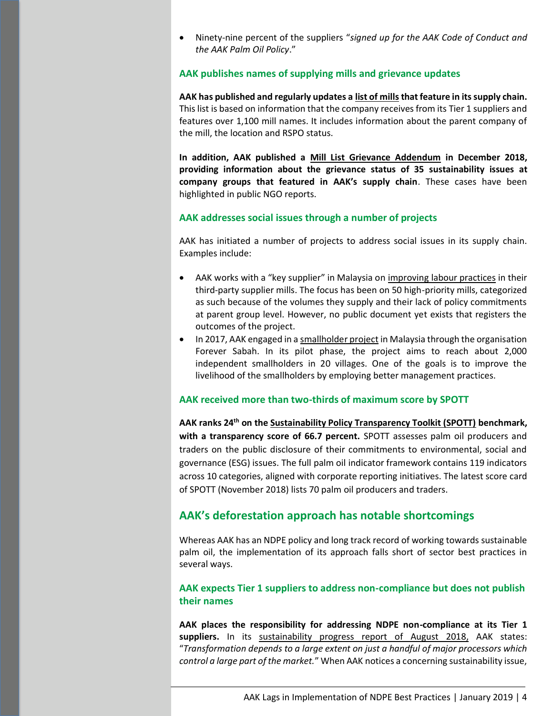• Ninety-nine percent of the suppliers "*signed up for the AAK Code of Conduct and the AAK Palm Oil Policy*."

#### **AAK publishes names of supplying mills and grievance updates**

**AAK has published and regularly updates a [list of mills](https://aak.com/siteassets/sustainable-growth/aak-public-mill-list-dec-2018.pdf)that feature in its supply chain.** This list is based on information that the company receives from its Tier 1 suppliers and features over 1,100 mill names. It includes information about the parent company of the mill, the location and RSPO status.

**In addition, AAK published a [Mill List Grievance Addendum](https://aak.com/siteassets/sustainable-growth/final-mill-list-grievance-addendum-december-2018.pdf) in December 2018, providing information about the grievance status of 35 sustainability issues at company groups that featured in AAK's supply chain**. These cases have been highlighted in public NGO reports.

#### **AAK addresses social issues through a number of projects**

AAK has initiated a number of projects to address social issues in its supply chain. Examples include:

- AAK works with a "key supplier" in Malaysia on [improving labour practices](https://aak.com/siteassets/sustainable-growth/palm-progress-reports/aaks-progress-report-on-sustainable-palm-oil-august-2018.pdf) in their third-party supplier mills. The focus has been on 50 high-priority mills, categorized as such because of the volumes they supply and their lack of policy commitments at parent group level. However, no public document yet exists that registers the outcomes of the project.
- In 2017, AAK engaged in [a smallholder project](http://ebooks.exakta.se/aak/2018/hallbarhetsrapport_2017_eng/) in Malaysia through the organisation Forever Sabah. In its pilot phase, the project aims to reach about 2,000 independent smallholders in 20 villages. One of the goals is to improve the livelihood of the smallholders by employing better management practices.

#### **AAK received more than two-thirds of maximum score by SPOTT**

**AAK ranks 24th on th[e Sustainability Policy Transparency Toolkit \(SPOTT\)](https://www.spott.org/palm-oil/) benchmark, with a transparency score of 66.7 percent.** SPOTT assesses palm oil producers and traders on the public disclosure of their commitments to environmental, social and governance (ESG) issues. The full palm oil indicator framework contains 119 indicators across 10 categories, aligned with corporate reporting initiatives. The latest score card of SPOTT (November 2018) lists 70 palm oil producers and traders.

#### **AAK's deforestation approach has notable shortcomings**

Whereas AAK has an NDPE policy and long track record of working towards sustainable palm oil, the implementation of its approach falls short of sector best practices in several ways.

## **AAK expects Tier 1 suppliers to address non-compliance but does not publish their names**

**AAK places the responsibility for addressing NDPE non-compliance at its Tier 1**  suppliers. In its [sustainability progress report of August 2018,](https://aak.com/siteassets/sustainable-growth/palm-progress-reports/aaks-progress-report-on-sustainable-palm-oil-august-2018.pdf) AAK states: "*Transformation depends to a large extent on just a handful of major processors which control a large part of the market.*" When AAK notices a concerning sustainability issue,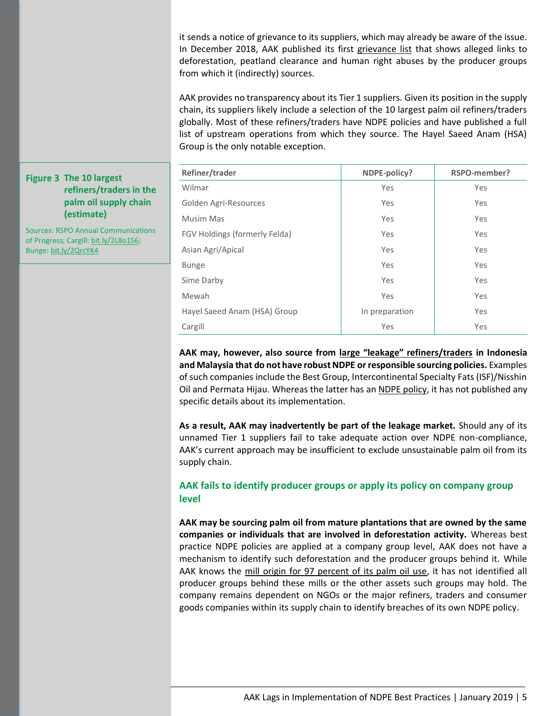it sends a notice of grievance to its suppliers, which may already be aware of the issue. In December 2018, AAK published its first [grievance list](https://aak.com/siteassets/sustainable-growth/final-mill-list-grievance-addendum-december-2018.pdf) that shows alleged links to deforestation, peatland clearance and human right abuses by the producer groups from which it (indirectly) sources.

AAK provides no transparency about its Tier 1 suppliers. Given its position in the supply chain, its suppliers likely include a selection of the 10 largest palm oil refiners/traders globally. Most of these refiners/traders have NDPE policies and have published a full list of upstream operations from which they source. The Hayel Saeed Anam (HSA) Group is the only notable exception.

| Refiner/trader                | NDPE-policy?   | RSPO-member? |
|-------------------------------|----------------|--------------|
| Wilmar                        | Yes            | Yes          |
| Golden Agri-Resources         | Yes            | Yes          |
| Musim Mas                     | Yes            | Yes          |
| FGV Holdings (formerly Felda) | Yes            | Yes          |
| Asian Agri/Apical             | Yes            | Yes          |
| <b>Bunge</b>                  | Yes            | Yes          |
| Sime Darby                    | Yes            | Yes          |
| Mewah                         | Yes            | Yes          |
| Hayel Saeed Anam (HSA) Group  | In preparation | Yes          |
| Cargill                       | Yes            | Yes          |

**AAK may, however, also source from [large "leakage" refiners/traders](https://chainreactionresearch.com/wp-content/uploads/2017/11/unsustainable-palm-oil-faces-increasing-market-access-risks-final-1_updated-july-2018.pdf) in Indonesia and Malaysia that do not have robust NDPE or responsible sourcing policies.** Examples of such companies include the Best Group, Intercontinental Specialty Fats (ISF)/Nisshin Oil and Permata Hijau. Whereas the latter has an [NDPE policy,](http://www.permatagroup.com/sustainability.html) it has not published any specific details about its implementation.

**As a result, AAK may inadvertently be part of the leakage market.** Should any of its unnamed Tier 1 suppliers fail to take adequate action over NDPE non-compliance, AAK's current approach may be insufficient to exclude unsustainable palm oil from its supply chain.

## **AAK fails to identify producer groups or apply its policy on company group level**

**AAK may be sourcing palm oil from mature plantations that are owned by the same companies or individuals that are involved in deforestation activity.** Whereas best practice NDPE policies are applied at a company group level, AAK does not have a mechanism to identify such deforestation and the producer groups behind it. While AAK knows the [mill origin for 97 percent of its palm oil use,](https://aak.com/siteassets/sustainable-growth/palm-progress-reports/aaks-progress-report-on-sustainable-palm-oil-august-2018.pdf) it has not identified all producer groups behind these mills or the other assets such groups may hold. The company remains dependent on NGOs or the major refiners, traders and consumer goods companies within its supply chain to identify breaches of its own NDPE policy.

## **Figure 3 The 10 largest refiners/traders in the palm oil supply chain (estimate)**

Sources: RSPO Annual Communications of Progress; Cargill: [bit.ly/2L8o156;](https://www.cargill.com/page/cargill-mill-locations) Bunge[: bit.ly/2QrcYK4](https://bunge-ltd-micro.prod-use1.investis.com/~/media/Files/B/Bunge-Ltd-Micro/event-calendar/bunge-investor-presentation-sep-2018.pdf)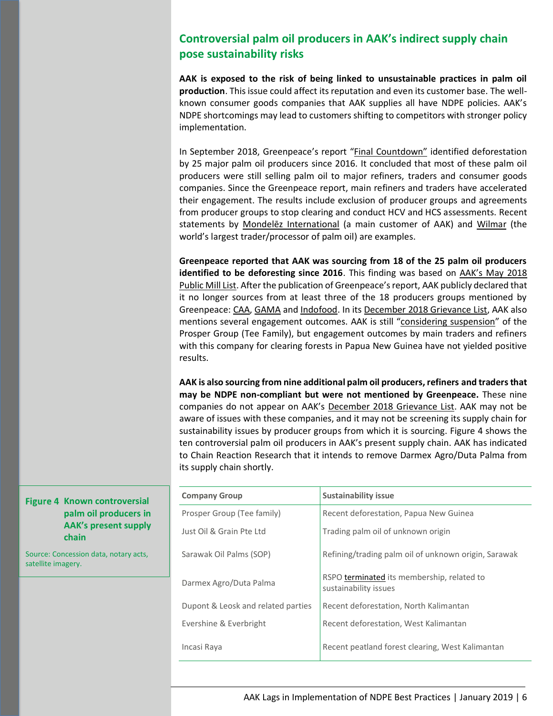# **Controversial palm oil producers in AAK's indirect supply chain pose sustainability risks**

**AAK is exposed to the risk of being linked to unsustainable practices in palm oil production**. This issue could affect its reputation and even its customer base. The wellknown consumer goods companies that AAK supplies all have NDPE policies. AAK's NDPE shortcomings may lead to customers shifting to competitors with stronger policy implementation.

In September 2018, Greenpeace's report "[Final Countdown](https://www.greenpeace.org/international/publication/18455/the-final-countdown-forests-indonesia-palm-oil/)" identified deforestation by 25 major palm oil producers since 2016. It concluded that most of these palm oil producers were still selling palm oil to major refiners, traders and consumer goods companies. Since the Greenpeace report, main refiners and traders have accelerated their engagement. The results include exclusion of producer groups and agreements from producer groups to stop clearing and conduct HCV and HCS assessments. Recent statements by Mond[elēz International](https://ir.mondelezinternational.com/news-releases/news-release-details/mondelez-international-calls-100-sustainability-and-100) (a main customer of AAK) and [Wilmar](http://www.wilmar-international.com/sustainability/wp-content/uploads/2018/09/Wilmar-urges-Greenpeace-to-take-collaborative-and-constructive-action_25_Sep_2018-2.pdf) (the world's largest trader/processor of palm oil) are examples.

**Greenpeace reported that AAK was sourcing from 18 of the 25 palm oil producers identified to be deforesting since 2016**. This finding was based on [AAK's May 2018](https://aak.com/siteassets/sustainable-growth/aak-public-mill-list-may-2018.pdf)  [Public Mill List.](https://aak.com/siteassets/sustainable-growth/aak-public-mill-list-may-2018.pdf) After the publication of Greenpeace's report, AAK publicly declared that it no longer sources from at least three of the 18 producers groups mentioned by Greenpeace: [CAA, GAMA](https://www.greenpeace.org/international/publication/18455/the-final-countdown-forests-indonesia-palm-oil/) and [Indofood.](https://aak.com/sustainable-growth/responsible-sourcing/responsible-sourcing-of-palm/) In its [December 2018 Grievance List,](https://aak.com/siteassets/sustainable-growth/final-mill-list-grievance-addendum-december-2018.pdf) AAK also mentions several engagement outcomes. AAK is still "[considering suspension](https://aak.com/siteassets/sustainable-growth/final-mill-list-grievance-addendum-december-2018.pdf)" of the Prosper Group (Tee Family), but engagement outcomes by main traders and refiners with this company for clearing forests in Papua New Guinea have not yielded positive results.

**AAK is also sourcing from nine additional palm oil producers, refiners and traders that may be NDPE non-compliant but were not mentioned by Greenpeace.** These nine companies do not appear on AAK's [December 2018 Grievance List.](https://aak.com/siteassets/sustainable-growth/final-mill-list-grievance-addendum-december-2018.pdf) AAK may not be aware of issues with these companies, and it may not be screening its supply chain for sustainability issues by producer groups from which it is sourcing. Figure 4 shows the ten controversial palm oil producers in AAK's present supply chain. AAK has indicated to Chain Reaction Research that it intends to remove Darmex Agro/Duta Palma from its supply chain shortly.

| <b>Company Group</b>               | <b>Sustainability issue</b>                                         |
|------------------------------------|---------------------------------------------------------------------|
| Prosper Group (Tee family)         | Recent deforestation, Papua New Guinea                              |
| Just Oil & Grain Pte Ltd           | Trading palm oil of unknown origin                                  |
| Sarawak Oil Palms (SOP)            | Refining/trading palm oil of unknown origin, Sarawak                |
| Darmex Agro/Duta Palma             | RSPO terminated its membership, related to<br>sustainability issues |
| Dupont & Leosk and related parties | Recent deforestation, North Kalimantan                              |
| Evershine & Everbright             | Recent deforestation, West Kalimantan                               |
| Incasi Raya                        | Recent peatland forest clearing, West Kalimantan                    |

**Figure 4 Known controversial palm oil producers in AAK's present supply chain**

Source: Concession data, notary acts, satellite imagery.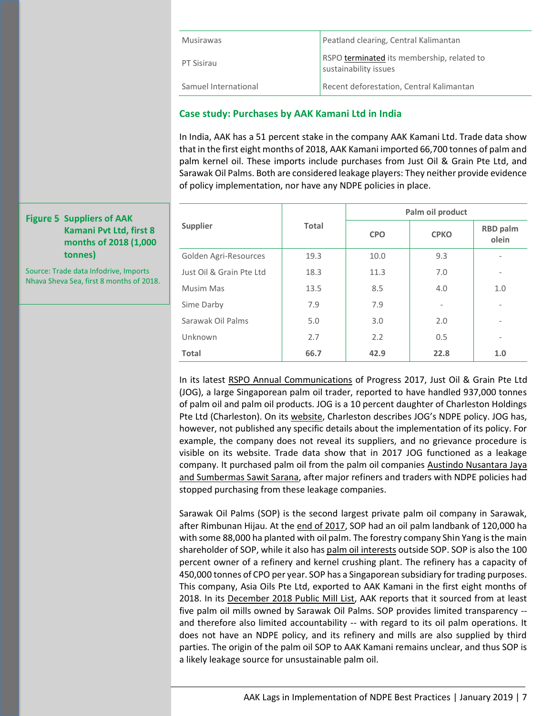| <b>Musirawas</b>     | Peatland clearing, Central Kalimantan                               |
|----------------------|---------------------------------------------------------------------|
| PT Sisirau           | RSPO terminated its membership, related to<br>sustainability issues |
| Samuel International | Recent deforestation, Central Kalimantan                            |

## **Case study: Purchases by AAK Kamani Ltd in India**

In India, AAK has a 51 percent stake in the company AAK Kamani Ltd. Trade data show that in the first eight months of 2018, AAK Kamani imported 66,700 tonnes of palm and palm kernel oil. These imports include purchases from Just Oil & Grain Pte Ltd, and Sarawak Oil Palms. Both are considered leakage players: They neither provide evidence of policy implementation, nor have any NDPE policies in place.

|                          |       | Palm oil product |                          |                          |  |  |
|--------------------------|-------|------------------|--------------------------|--------------------------|--|--|
| <b>Supplier</b>          | Total | <b>CPO</b>       | <b>CPKO</b>              | <b>RBD</b> palm<br>olein |  |  |
| Golden Agri-Resources    | 19.3  | 10.0             | 9.3                      |                          |  |  |
| Just Oil & Grain Pte Ltd | 18.3  | 11.3             | 7.0                      | ٠                        |  |  |
| Musim Mas                | 13.5  | 8.5              | 4.0                      | 1.0                      |  |  |
| Sime Darby               | 7.9   | 7.9              | $\overline{\phantom{a}}$ |                          |  |  |
| Sarawak Oil Palms        | 5.0   | 3.0              | 2.0                      |                          |  |  |
| Unknown                  | 2.7   | 2.2              | 0.5                      | ٠                        |  |  |
| Total                    | 66.7  | 42.9             | 22.8                     | 1.0                      |  |  |

In its latest [RSPO Annual Communications](https://www.rspo.org/file/acop2017/submissions/just%20oil%20and%20grain%20pte%20ltd-ACOP2017.pdf) of Progress 2017, Just Oil & Grain Pte Ltd (JOG), a large Singaporean palm oil trader, reported to have handled 937,000 tonnes of palm oil and palm oil products. JOG is a 10 percent daughter of Charleston Holdings Pte Ltd (Charleston). On its [website](http://charleston.com.sg/sustainability/), Charleston describes JOG's NDPE policy. JOG has, however, not published any specific details about the implementation of its policy. For example, the company does not reveal its suppliers, and no grievance procedure is visible on its website. Trade data show that in 2017 JOG functioned as a leakage company. It purchased palm oil from the palm oil companies Austindo Nusantara Jaya [and Sumbermas Sawit Sarana,](https://chainreactionresearch.com/wp-content/uploads/2018/11/Leakage-Risks-in-India.pdf) after major refiners and traders with NDPE policies had stopped purchasing from these leakage companies.

Sarawak Oil Palms (SOP) is the second largest private palm oil company in Sarawak, after Rimbunan Hijau. At the [end of 2017,](http://www.sop.com.my/wp-content/uploads/2018/06/AR-2017.pdf) SOP had an oil palm landbank of 120,000 ha with some 88,000 ha planted with oil palm. The forestry company Shin Yang is the main shareholder of SOP, while it also has [palm oil interests](https://www.shinyang.com.my/index.php/products-services/oil-palm-plantation) outside SOP. SOP is also the 100 percent owner of a refinery and kernel crushing plant. The refinery has a capacity of 450,000 tonnes of CPO per year. SOP has a Singaporean subsidiary for trading purposes. This company, Asia Oils Pte Ltd, exported to AAK Kamani in the first eight months of 2018. In its [December 2018 Public Mill List,](https://aak.com/siteassets/sustainable-growth/aak-public-mill-list-dec-2018.pdf) AAK reports that it sourced from at least five palm oil mills owned by Sarawak Oil Palms. SOP provides limited transparency - and therefore also limited accountability -- with regard to its oil palm operations. It does not have an NDPE policy, and its refinery and mills are also supplied by third parties. The origin of the palm oil SOP to AAK Kamani remains unclear, and thus SOP is a likely leakage source for unsustainable palm oil.

#### **Figure 5 Suppliers of AAK Kamani Pvt Ltd, first 8 months of 2018 (1,000 tonnes)**

Source: Trade data Infodrive, Imports Nhava Sheva Sea, first 8 months of 2018.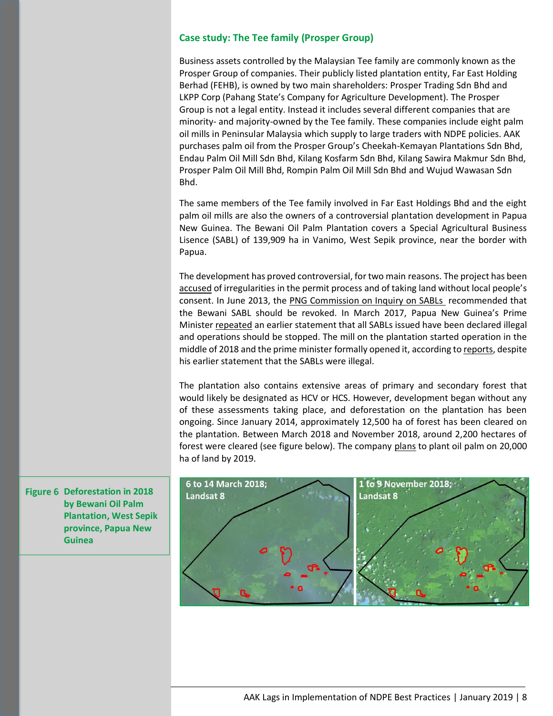#### **Case study: The Tee family (Prosper Group)**

Business assets controlled by the Malaysian Tee family are commonly known as the Prosper Group of companies. Their publicly listed plantation entity, Far East Holding Berhad (FEHB), is owned by two main shareholders: Prosper Trading Sdn Bhd and LKPP Corp (Pahang State's Company for Agriculture Development). The Prosper Group is not a legal entity. Instead it includes several different companies that are minority- and majority-owned by the Tee family. These companies include eight palm oil mills in Peninsular Malaysia which supply to large traders with NDPE policies. AAK purchases palm oil from the Prosper Group's Cheekah-Kemayan Plantations Sdn Bhd, Endau Palm Oil Mill Sdn Bhd, Kilang Kosfarm Sdn Bhd, Kilang Sawira Makmur Sdn Bhd, Prosper Palm Oil Mill Bhd, Rompin Palm Oil Mill Sdn Bhd and Wujud Wawasan Sdn Bhd.

The same members of the Tee family involved in Far East Holdings Bhd and the eight palm oil mills are also the owners of a controversial plantation development in Papua New Guinea. The Bewani Oil Palm Plantation covers a Special Agricultural Business Lisence (SABL) of 139,909 ha in Vanimo, West Sepik province, near the border with Papua.

The development has proved controversial, for two main reasons. The project has been [accused](https://www.google.com/url?sa=t&rct=j&q=&esrc=s&source=web&cd=2&cad=rja&uact=8&ved=0ahUKEwj25K2brq_bAhVJJsAKHRqNC5MQFgg3MAE&url=https%3A%2F%2Fwww.globalwitness.org%2Fdocuments%2F19153%2Fstained_trade_260717_smallversion_1d_100dpi.pdf&usg=AOvVaw2lX41BKwx5CkbcEy1pXtuU) of irregularities in the permit process and of taking land without local people's consent. In June 2013, the [PNG Commission on Inquiry on SABLs](https://pngexposed.wordpress.com/2013/12/02/sabl-case-study-no-5-belden-namah-and-bewani-palm-oil-limited/) recommended that the Bewani SABL should be revoked. In March 2017, Papua New Guinea's Prime Ministe[r repeated](https://postcourier.com.pg/all-sabls-unlawful/) an earlier statement that all SABLs issued have been declared illegal and operations should be stopped. The mill on the plantation started operation in the middle of 2018 and the prime minister formally opened it, according t[o reports,](http://www.looppng.com/business/wharf-complement-projects-77304) despite his earlier statement that the SABLs were illegal.

The plantation also contains extensive areas of primary and secondary forest that would likely be designated as HCV or HCS. However, development began without any of these assessments taking place, and deforestation on the plantation has been ongoing. Since January 2014, approximately 12,500 ha of forest has been cleared on the plantation. Between March 2018 and November 2018, around 2,200 hectares of forest were cleared (see figure below). The company [plans](https://postcourier.com.pg/20000-hectares-set-oil-palm-2019/) to plant oil palm on 20,000 ha of land by 2019.



**Figure 6 Deforestation in 2018 by Bewani Oil Palm Plantation, West Sepik province, Papua New Guinea**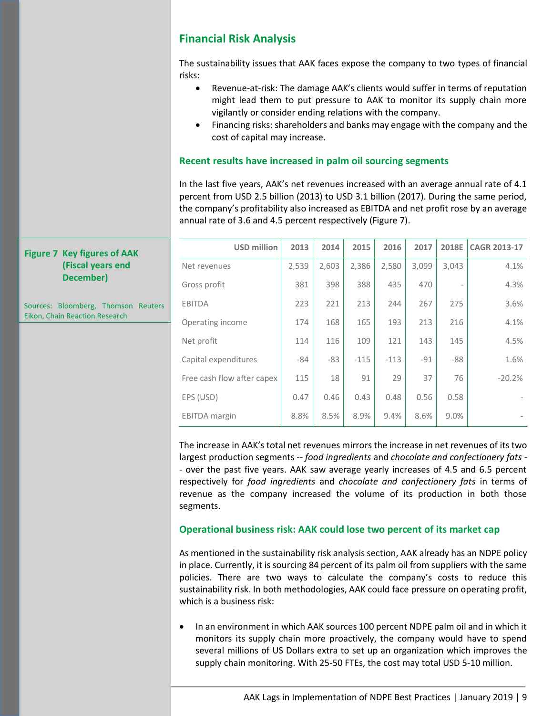## **Financial Risk Analysis**

The sustainability issues that AAK faces expose the company to two types of financial risks:

- Revenue-at-risk: The damage AAK's clients would suffer in terms of reputation might lead them to put pressure to AAK to monitor its supply chain more vigilantly or consider ending relations with the company.
- Financing risks: shareholders and banks may engage with the company and the cost of capital may increase.

#### **Recent results have increased in palm oil sourcing segments**

In the last five years, AAK's net revenues increased with an average annual rate of 4.1 percent from USD 2.5 billion (2013) to USD 3.1 billion (2017). During the same period, the company's profitability also increased as EBITDA and net profit rose by an average annual rate of 3.6 and 4.5 percent respectively (Figure 7).

| <b>USD million</b>         | 2013  | 2014  | 2015   | 2016   | 2017  | 2018E | <b>CAGR 2013-17</b> |
|----------------------------|-------|-------|--------|--------|-------|-------|---------------------|
| Net revenues               | 2,539 | 2,603 | 2,386  | 2,580  | 3,099 | 3,043 | 4.1%                |
| Gross profit               | 381   | 398   | 388    | 435    | 470   |       | 4.3%                |
| <b>EBITDA</b>              | 223   | 221   | 213    | 244    | 267   | 275   | 3.6%                |
| Operating income           | 174   | 168   | 165    | 193    | 213   | 216   | 4.1%                |
| Net profit                 | 114   | 116   | 109    | 121    | 143   | 145   | 4.5%                |
| Capital expenditures       | -84   | $-83$ | $-115$ | $-113$ | $-91$ | $-88$ | 1.6%                |
| Free cash flow after capex | 115   | 18    | 91     | 29     | 37    | 76    | $-20.2%$            |
| EPS (USD)                  | 0.47  | 0.46  | 0.43   | 0.48   | 0.56  | 0.58  |                     |
| <b>EBITDA</b> margin       | 8.8%  | 8.5%  | 8.9%   | 9.4%   | 8.6%  | 9.0%  |                     |

The increase in AAK's total net revenues mirrors the increase in net revenues of its two largest production segments -- *food ingredients* and *chocolate and confectionery fats - -* over the past five years. AAK saw average yearly increases of 4.5 and 6.5 percent respectively for *food ingredients* and *chocolate and confectionery fats* in terms of revenue as the company increased the volume of its production in both those segments.

#### **Operational business risk: AAK could lose two percent of its market cap**

As mentioned in the sustainability risk analysis section, AAK already has an NDPE policy in place. Currently, it is sourcing 84 percent of its palm oil from suppliers with the same policies. There are two ways to calculate the company's costs to reduce this sustainability risk. In both methodologies, AAK could face pressure on operating profit, which is a business risk:

• In an environment in which AAK sources 100 percent NDPE palm oil and in which it monitors its supply chain more proactively, the company would have to spend several millions of US Dollars extra to set up an organization which improves the supply chain monitoring. With 25-50 FTEs, the cost may total USD 5-10 million.

#### **Figure 7 Key figures of AAK (Fiscal years end December)**

Sources: Bloomberg, Thomson Reuters Eikon, Chain Reaction Research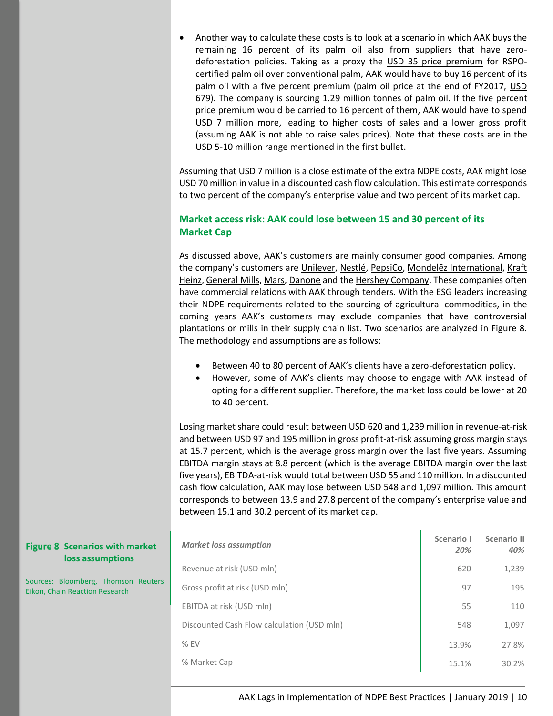• Another way to calculate these costs is to look at a scenario in which AAK buys the remaining 16 percent of its palm oil also from suppliers that have zerodeforestation policies. Taking as a proxy the [USD 35 price premium](https://news.mongabay.com/2017/02/will-there-really-be-enough-sustainable-palm-oil-for-the-whole-market/) for RSPOcertified palm oil over conventional palm, AAK would have to buy 16 percent of its palm oil with a five percent premium (palm oil price at the end of FY2017, [USD](https://www.indexmundi.com/commodities/?commodity=palm-oil&months=12)  [679\)](https://www.indexmundi.com/commodities/?commodity=palm-oil&months=12). The company is sourcing 1.29 million tonnes of palm oil. If the five percent price premium would be carried to 16 percent of them, AAK would have to spend USD 7 million more, leading to higher costs of sales and a lower gross profit (assuming AAK is not able to raise sales prices). Note that these costs are in the USD 5-10 million range mentioned in the first bullet.

Assuming that USD 7 million is a close estimate of the extra NDPE costs, AAK might lose USD 70 million in value in a discounted cash flow calculation. This estimate corresponds to two percent of the company's enterprise value and two percent of its market cap.

## **Market access risk: AAK could lose between 15 and 30 percent of its Market Cap**

As discussed above, AAK's customers are mainly consumer good companies. Among the company's customers are [Unilever,](https://www.unilever.com/Images/unilever-palm-oil-supplier-list_tcm244-515896_en.pdf) [Nestlé,](https://www.nestle.com/asset-library/documents/creating-shared-value/responsible-sourcing/tier1-po-suppliers-feb-2018.pdf) [PepsiCo,](https://www.pepsico.com/docs/album/a-z-topics-policies/pepsico-2018-direct-palm-oil-supplier-list_vf.pdf) [Mondelēz International](https://www.mondelezinternational.com/~/media/mondelezcorporate/uploads/downloads/supplier_list.pdf), Kraft [Heinz,](http://www.kraftheinzcompany.com/pdf/Kraft_Heinz_Sustainable_Palm_Policy.pdf) [General Mills,](https://www.generalmills.com/en/News/Issues/palm-oil-statement/current-direct-suppliers) [Mars,](https://www.mars.com/docs/default-source/Policies-and-Practices/marspalmupdate_march_2018.pdf?sfvrsn=4) [Danone](https://www.danone.com/content/dam/danone-corp/about-us-impact/policies-and-commitments/en/2018/2015_Palm_Oil_Policy_Updated2018.pdf) and the [Hershey Company.](https://www.thehersheycompany.com/en_us/shared-goodness/shared-business/palm-oil-facts.html) These companies often have commercial relations with AAK through tenders. With the ESG leaders increasing their NDPE requirements related to the sourcing of agricultural commodities, in the coming years AAK's customers may exclude companies that have controversial plantations or mills in their supply chain list. Two scenarios are analyzed in Figure 8. The methodology and assumptions are as follows:

- Between 40 to 80 percent of AAK's clients have a zero-deforestation policy.
- However, some of AAK's clients may choose to engage with AAK instead of opting for a different supplier. Therefore, the market loss could be lower at 20 to 40 percent.

Losing market share could result between USD 620 and 1,239 million in revenue-at-risk and between USD 97 and 195 million in gross profit-at-risk assuming gross margin stays at 15.7 percent, which is the average gross margin over the last five years. Assuming EBITDA margin stays at 8.8 percent (which is the average EBITDA margin over the last five years), EBITDA-at-risk would total between USD 55 and 110 million. In a discounted cash flow calculation, AAK may lose between USD 548 and 1,097 million. This amount corresponds to between 13.9 and 27.8 percent of the company's enterprise value and between 15.1 and 30.2 percent of its market cap.

| <b>Figure 8 Scenarios with market</b><br>loss assumptions             | <b>Market loss assumption</b>              | Scenario I<br>20% | <b>Scenario II</b><br>40% |
|-----------------------------------------------------------------------|--------------------------------------------|-------------------|---------------------------|
|                                                                       | Revenue at risk (USD mln)                  | 620               | 1,239                     |
| Sources: Bloomberg, Thomson Reuters<br>Eikon, Chain Reaction Research | Gross profit at risk (USD mln)             | 97                | 195                       |
|                                                                       | EBITDA at risk (USD mln)                   | 55                | 110                       |
|                                                                       | Discounted Cash Flow calculation (USD mln) | 548               | 1,097                     |
|                                                                       | $%$ EV                                     | 13.9%             | 27.8%                     |
|                                                                       | % Market Cap                               | 15.1%             | 30.2%                     |

#### AAK Lags in Implementation of NDPE Best Practices | January 2019 | 10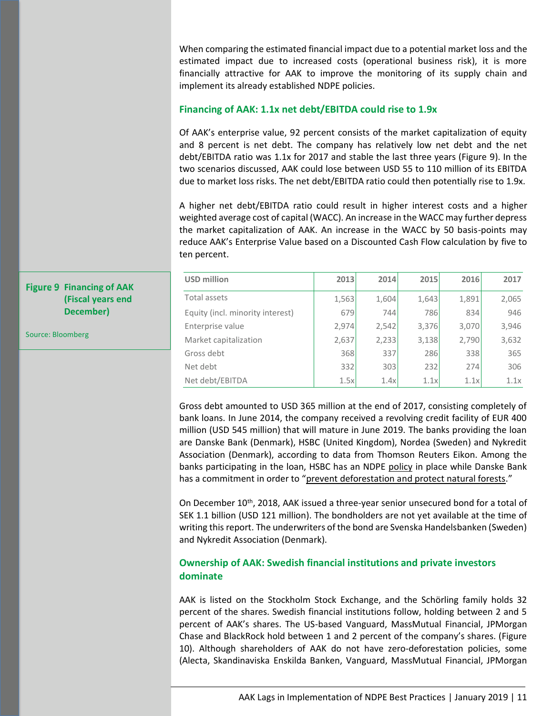When comparing the estimated financial impact due to a potential market loss and the estimated impact due to increased costs (operational business risk), it is more financially attractive for AAK to improve the monitoring of its supply chain and implement its already established NDPE policies.

#### **Financing of AAK: 1.1x net debt/EBITDA could rise to 1.9x**

Of AAK's enterprise value, 92 percent consists of the market capitalization of equity and 8 percent is net debt. The company has relatively low net debt and the net debt/EBITDA ratio was 1.1x for 2017 and stable the last three years (Figure 9). In the two scenarios discussed, AAK could lose between USD 55 to 110 million of its EBITDA due to market loss risks. The net debt/EBITDA ratio could then potentially rise to 1.9x.

A higher net debt/EBITDA ratio could result in higher interest costs and a higher weighted average cost of capital (WACC). An increase in the WACC may further depress the market capitalization of AAK. An increase in the WACC by 50 basis-points may reduce AAK's Enterprise Value based on a Discounted Cash Flow calculation by five to ten percent.

| <b>USD million</b>               | 2013  | 2014  | 2015  | 2016  | 2017  |
|----------------------------------|-------|-------|-------|-------|-------|
| Total assets                     | 1,563 | 1,604 | 1,643 | 1,891 | 2,065 |
| Equity (incl. minority interest) | 679   | 744   | 786   | 834   | 946   |
| Enterprise value                 | 2,974 | 2,542 | 3,376 | 3,070 | 3,946 |
| Market capitalization            | 2,637 | 2,233 | 3,138 | 2,790 | 3,632 |
| Gross debt                       | 368   | 337   | 286   | 338   | 365   |
| Net debt                         | 332   | 303   | 232   | 274   | 306   |
| Net debt/EBITDA                  | 1.5x  | 1.4x  | 1.1x  | 1.1x  | 1.1x  |

Gross debt amounted to USD 365 million at the end of 2017, consisting completely of bank loans. In June 2014, the company received a revolving credit facility of EUR 400 million (USD 545 million) that will mature in June 2019. The banks providing the loan are Danske Bank (Denmark), HSBC (United Kingdom), Nordea (Sweden) and Nykredit Association (Denmark), according to data from Thomson Reuters Eikon. Among the banks participating in the loan, HSBC has an NDPE [policy](https://www.hsbc.com/media/media-releases/2017/hsbc-statement-on-revised-agricultural-commodities-policy) in place while Danske Bank has a commitment in order to "prevent [deforestation and protect natural forests](https://danskebank.com/-/media/danske-bank-com/file-cloud/2017/5/danske-bank-position-statement-forestry.pdf)."

On December  $10^{th}$ , 2018, AAK issued a three-year senior unsecured bond for a total of SEK 1.1 billion (USD 121 million). The bondholders are not yet available at the time of writing this report. The underwriters of the bond are Svenska Handelsbanken (Sweden) and Nykredit Association (Denmark).

#### **Ownership of AAK: Swedish financial institutions and private investors dominate**

AAK is listed on the Stockholm Stock Exchange, and the Schörling family holds 32 percent of the shares. Swedish financial institutions follow, holding between 2 and 5 percent of AAK's shares. The US-based Vanguard, MassMutual Financial, JPMorgan Chase and BlackRock hold between 1 and 2 percent of the company's shares. (Figure 10). Although shareholders of AAK do not have zero-deforestation policies, some (Alecta, Skandinaviska Enskilda Banken, Vanguard, MassMutual Financial, JPMorgan

## **Figure 9 Financing of AAK (Fiscal years end December)**

Source: Bloomberg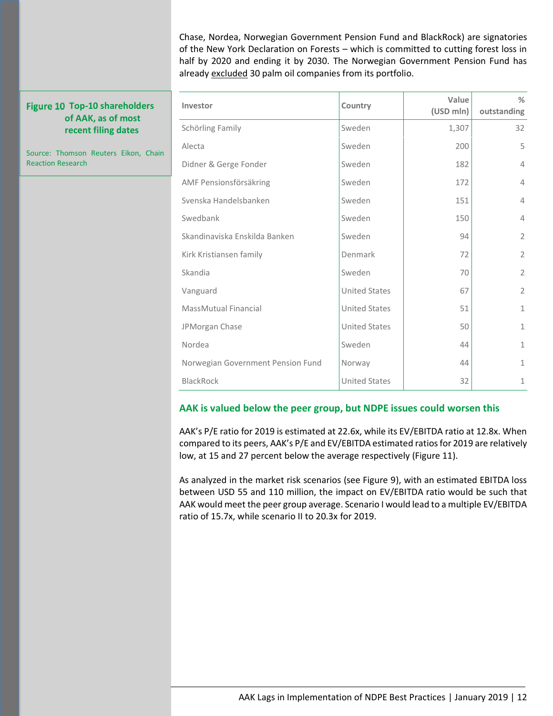Chase, Nordea, Norwegian Government Pension Fund and BlackRock) are signatories of the New York Declaration on Forests – which is committed to cutting forest loss in half by 2020 and ending it by 2030. The Norwegian Government Pension Fund has already [excluded](http://www.aidenvironment.org/publication/nordic-investments-in-banks-financing-indonesian-palm-oil/) 30 palm oil companies from its portfolio.

**%** 

#### **Figure 10 Top-10 shareholders of AAK, as of most recent filing dates**

Source: Thomson Reuters Eikon, Chain Reaction Research

| Investor                          | Country              | Value<br>(USD mln) | %<br>outstanding |
|-----------------------------------|----------------------|--------------------|------------------|
| Schörling Family                  | Sweden               | 1,307              | 32               |
| Alecta                            | Sweden               | 200                | 5                |
| Didner & Gerge Fonder             | Sweden               | 182                | $\overline{4}$   |
| AMF Pensionsförsäkring            | Sweden               | 172                | $\overline{4}$   |
| Svenska Handelsbanken             | Sweden               | 151                | 4                |
| Swedbank                          | Sweden               | 150                | $\overline{4}$   |
| Skandinaviska Enskilda Banken     | Sweden               | 94                 | $\overline{2}$   |
| Kirk Kristiansen family           | Denmark              | 72                 | $\overline{2}$   |
| Skandia                           | Sweden               | 70                 | $\overline{2}$   |
| Vanguard                          | <b>United States</b> | 67                 | $\overline{2}$   |
| <b>MassMutual Financial</b>       | <b>United States</b> | 51                 | $\mathbf{1}$     |
| JPMorgan Chase                    | <b>United States</b> | 50                 | $\mathbf{1}$     |
| Nordea                            | Sweden               | 44                 | $\mathbf{1}$     |
| Norwegian Government Pension Fund | Norway               | 44                 | $\mathbf{1}$     |
| <b>BlackRock</b>                  | <b>United States</b> | 32                 | $\mathbf 1$      |

#### **AAK is valued below the peer group, but NDPE issues could worsen this**

AAK's P/E ratio for 2019 is estimated at 22.6x, while its EV/EBITDA ratio at 12.8x. When compared to its peers, AAK's P/E and EV/EBITDA estimated ratios for 2019 are relatively low, at 15 and 27 percent below the average respectively (Figure 11).

As analyzed in the market risk scenarios (see Figure 9), with an estimated EBITDA loss between USD 55 and 110 million, the impact on EV/EBITDA ratio would be such that AAK would meet the peer group average. Scenario I would lead to a multiple EV/EBITDA ratio of 15.7x, while scenario II to 20.3x for 2019.